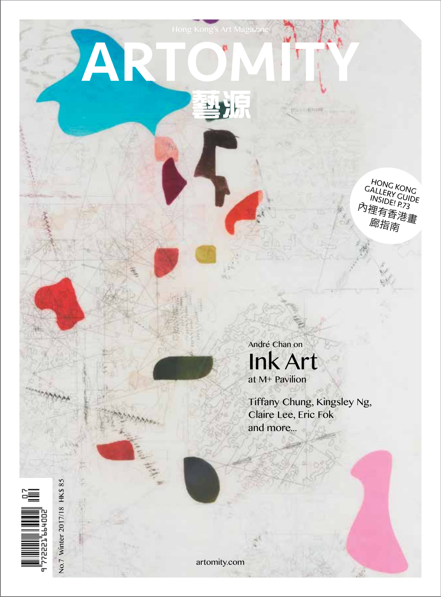Hong Kong's Art Magazine

藝源

AR

HONG KONG<br>GALLERY GUIDE<br>INSIDE! P.73<br>SZER – 內裡有香港畫 廊指南

André Chan on Ink Art at M+ Pavilion

Tiffany Chung, Kingsley Ng, Claire Lee, Eric Fok and more...

**THE HOME** 



No.7 Winter 2017/18 HK\$ 85

No.7 Winter 2017/18 HK\$ 85

artomity.com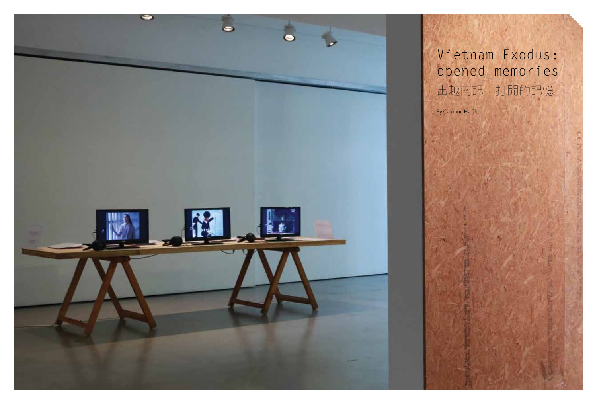

## Vietnam Exodus: opened memories 出越南記: 打開的記憶

By Caroline Ha Thuc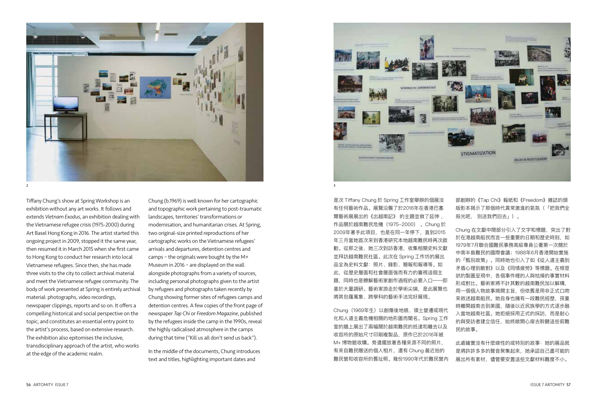

Tifany Chung's show at Spring Workshop is an exhibition without any art works. It follows and extends *Vietnam Exodus*, an exhibition dealing with the Vietnamese refugee crisis (1975-2000) during Art Basel Hong Kong in 2016. The artist started this ongoing project in 2009, stopped it the same year, then resumed it in March 2015 when she frst came to Hong Kong to conduct her research into local Vietnamese refugees. Since then, she has made three visits to the city to collect archival material and meet the Vietnamese refugee community. The body of work presented at Spring is entirely archival material: photographs, video recordings, newspaper clippings, reports and so on. It offers a compelling historical and social perspective on the topic, and constitutes an essential entry point to the artist's process, based on extensive research. The exhibition also epitomises the inclusive, transdisciplinary approach of the artist, who works at the edge of the academic realm.

Chung (b.1969) is well known for her cartographic and topographic work pertaining to post-traumatic landscapes, territories' transformations or modernisation, and humanitarian crises. At Spring, two original-size printed reproductions of her cartographic works on the Vietnamese refugees' arrivals and departures, detention centres and camps – the originals were bought by the M+ Museum in 2016 – are displayed on the wall alongside photographs from a variety of sources, including personal photographs given to the artist by refugees and photographs taken recently by Chung showing former sites of refugees camps and detention centres. A few copies of the front page of newspaper *Tap Chi* or *Freedom Magazine*, published by the refugees inside the camp in the 1990s, reveal the highly radicalised atmosphere in the camps during that time ("Kill us all don't send us back").

In the middle of the documents, Chung introduces text and titles, highlighting important dates and



是次 Tiffany Chung 於 Spring 工作室舉辦的個展沒 有仟何藝術作品。展覽沿襲了於2016年在香港巴塞 爾藝術展展出的《出越南記》 的主題並做了延伸, 作品關於越南難民危機 (1975-2000)。 Chung 於 2009年著手此項目,也是在同一年停下,直到2015 年三月常她首次來到香港研究本地越南難民時再次啟 動。從那之後,她三次到訪香港,收集相關史料文獻 並拜訪越南難民社區。此次在 Spring 工作坊的展出 品全為史料文獻:照片、錄影、簡報和報導等。如 此, 從歷史層面和社會層面強而有力的審視這個主 題,同時也是瞭解藝術家創作過程的必要入口–––即 基於大量調研。藝術家游走於學術尖端, 是此展覽也 將其包羅萬象、跨學科的藝術手法完好展現。

Chung (1969年生) 以創傷後地貌、領土變遷或現代 化和人道主義危機相關的地形圖而聞名。Spring 工作 室的牆上展出了兩幅關於越南難民的抵達和離去以及 收容所的原始尺寸印刷複製品, 原作已於2016年被 M+ 博物館收購。旁邊擺放著各種來源不同的照片, 有來自難民贈送的個人相片, 還有 Chung 最近拍的 難民營和收容所的舊址照。幾份1990年代於難民營內 部創辦的《Tap Chi》報紙和《Freedom》雜誌的頭 版影本揭示了那個時代異常激進的氣氛(「把我們全 殺光吧, 別送我們回去」)。

Chung 在文獻中間部分引入了文字和標題, 突出了對 於在港越南船民而言一些重要的日期和歷史時刻,如 1979年7月聯合國難民事務高級專員公署第一次關於 中南半島難民的國際會議; 1988年6月香港開始實施 的「甄別政策」。同時她也引入了如《從人道主義到 矛盾心理到敵對》以及《同情疲勞》等標題。在根莖 狀的製圖呈現中,各個事件裡的人與枯燥的事實材料 形成對比。藝術家將不計其數的越南難民加以解構、 用一個個人物故事揭開主旨,但依舊是用非正式口吻 來敘述越南船民。她自身也擁有一段難民經歷, 孩童 時離開越南去到美國、隨後以近民族學的方式逐步融 入當地越南社區。她拒絕採用正式的採訪,而是耐心 的與受訪者建立信任、始終敞開心扉去聆聽這些前難 民的故事。

此處確實沒有什麼線性的或特別的故事: 她的展品就 是將許許多多的聲音聚集起來,她承認自己盡可能的 展出所有素材,儘管要安置這些文獻材料難度不小。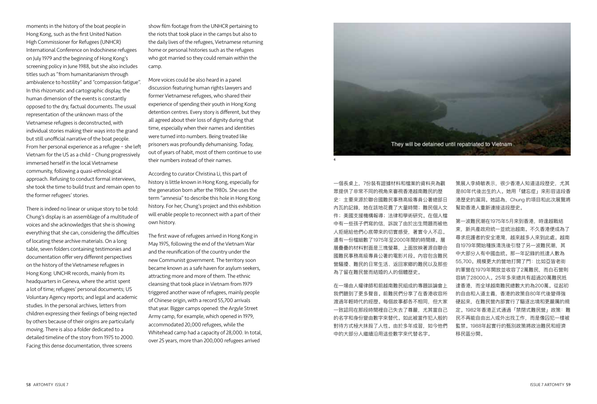moments in the history of the boat people in Hong Kong, such as the frst United Nation High Commissioner for Refugees (UNHCR) International Conference on Indochinese refugees on July 1979 and the beginning of Hong Kong's screening policy in June 1988, but she also includes titles such as "from humanitarianism through ambivalence to hostility" and "compassion fatigue". In this rhizomatic and cartographic display, the human dimension of the events is constantly opposed to the dry, factual documents. The usual representation of the unknown mass of the Vietnamese refugees is deconstructed, with individual stories making their ways into the grand but still unofficial narrative of the boat people. From her personal experience as a refugee – she left Vietnam for the US as a child – Chung progressively immersed herself in the local Vietnamese community, following a quasi-ethnological approach. Refusing to conduct formal interviews, she took the time to build trust and remain open to the former refugees' stories.

There is indeed no linear or unique story to be told: Chung's display is an assemblage of a multitude of voices and she acknowledges that she is showing everything that she can, considering the difficulties of locating these archive materials. On a long table, seven folders containing testimonies and documentation offer very different perspectives on the history of the Vietnamese refugees in Hong Kong: UNCHR records, mainly from its headquarters in Geneva, where the artist spent a lot of time; refugees' personal documents; US Voluntary Agency reports; and legal and academic studies. In the personal archives, letters from children expressing their feelings of being rejected by others because of their origins are particularly moving. There is also a folder dedicated to a detailed timeline of the story from 1975 to 2000. Facing this dense documentation, three screens

show flm footage from the UNHCR pertaining to the riots that took place in the camps but also to the daily lives of the refugees, Vietnamese returning home or personal histories such as the refugees who got married so they could remain within the camp.

More voices could be also heard in a panel discussion featuring human rights lawyers and former Vietnamese refugees, who shared their experience of spending their youth in Hong Kong detention centres. Every story is diferent, but they all agreed about their loss of dignity during that time, especially when their names and identities were turned into numbers. Being treated like prisoners was profoundly dehumanising. Today, out of years of habit, most of them continue to use their numbers instead of their names.

According to curator Christina Li, this part of history is little known in Hong Kong, especially for the generation born after the 1980s. She uses the term "amnesia" to describe this hole in Hong Kong history. For her, Chung's project and this exhibition will enable people to reconnect with a part of their own history.

The frst wave of refugees arrived in Hong Kong in May 1975, following the end of the Vietnam War and the reunifcation of the country under the new Communist government. The territory soon became known as a safe haven for asylum seekers, attracting more and more of them. The ethnic cleansing that took place in Vietnam from 1979 triggered another wave of refugees, mainly people of Chinese origin, with a record 55,700 arrivals that year. Bigger camps opened: the Argyle Street Army camp, for example, which opened in 1979, accommodated 20,000 refugees, while the Whitehead camp had a capacity of 28,000. In total, over 25 years, more than 200,000 refugees arrived



一個長桌上, 7份裝有證據材料和檔案的資料夾為觀 眾提供了非常不同的視角來審視香港越南難民的歷 史: 主要來源於聯合國難民事務高級專員公署總部日 內瓦的記錄, 她在該地花費了大量時間; 難民個人文 件; 美國支援機構報導; 法律和學術研究。在個人檔 中有一些孩子們寫的信,訴說了由於出生問題而被他 人拒絕給他們心底帶來的切實感受,著實令人不忍。 還有一份檔細數了1975年至2000年間的時間線。層 層疊疊的材料對面是三塊螢幕, 上面放映著源自聯合 國難民事務高級專員公署的電影片段。內容包含難民 營騷擾、難民的日常生活、返回家鄉的難民以及那些 為了留在難民營而結婚的人的個體歷史。

在一場由人權律師和前越南難民組成的專題談論會上 我們聽到了更多聲音。前難民們分享了在香港收容所 渡過年輕時代的經歷。每個故事都各不相同,但大家 一致認同在那段時間裡自己失去了尊嚴、尤其當自己 的名字和身份變由數字來替代。如此被當作犯人般的 對待方式極大抹殺了人性。由於多年成習,如今他們 中的大部分人繼續沿用這些數字來代替名字。

策展人李綺敏表示,很少香港人知道這段歷史,尤其 是80年代後出生的人。她用「健忘症」來形容這段香 港歷史的漏洞。她認為, Chung 的項目和此次展覽將 幫助香港人重新連接這段歷史。

第一波難民潮在1975年5月來到香港, 時逢越戰結 束, 新共產政府統一並統治越南。不久香港便成為了 尋求庇護者的安全港灣, 越來越多人來到此處。越南 自1979年開始種族清洗後引發了另一波難民潮, 其 中大部分人有中國血統。那一年記錄的抵達人數為 55,700。規模更大的營地打開了門: 比如亞皆老街 的軍營在1979年開放並收容了2萬難民,而白石營則 容納了28000人。25年多來總共有超過20萬難民抵 達香港, 而全球越南難民總數大約為200萬。從起初 的自由和人道主義, 香港的政策自80年代後變得強 硬起來,在難民營內部實行了驅逐出境和更嚴厲的規 定。1982年香港正式通過「禁閉式難民營」政策: 難 民不再能自由出入或外出找工作,而是像囚犯一樣被 監禁。1988年起實行的甄別政策將政治難民和經濟 移民區分開。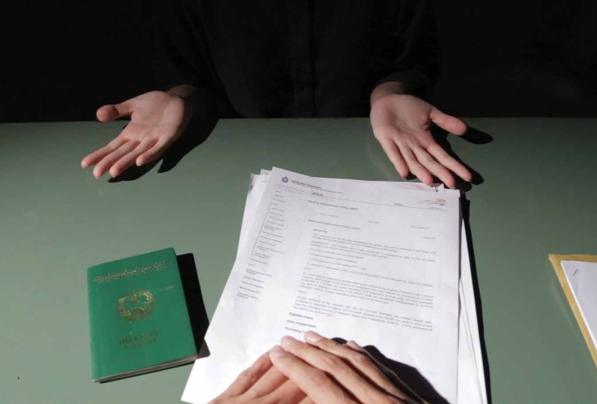